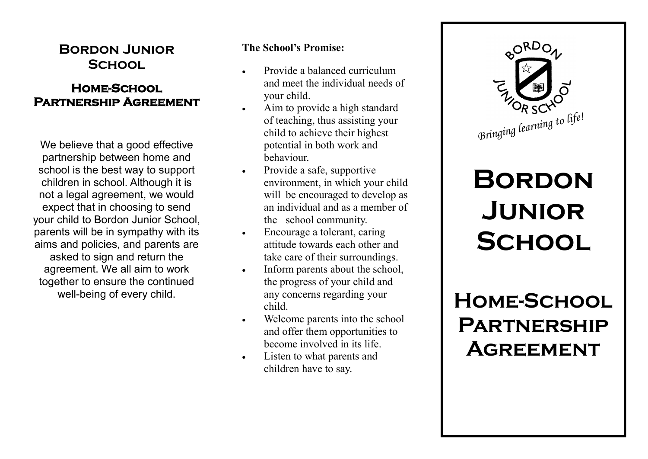## **Bordon Junior School**

### **Home-School Partnership Agreement**

We believe that a good effective partnership between home and school is the best way to support children in school. Although it is not a legal agreement, we would expect that in choosing to send your child to Bordon Junior School, parents will be in sympathy with its aims and policies, and parents are asked to sign and return the agreement. We all aim to work together to ensure the continued well-being of every child.

### **The School's Promise:**

- Provide a balanced curriculum and meet the individual needs of your child.
- Aim to provide a high standard of teaching, thus assisting your child to achieve their highest potential in both work and behaviour.
- Provide a safe, supportive environment, in which your child will be encouraged to develop as an individual and as a member of the school community.
- Encourage a tolerant, caring attitude towards each other and take care of their surroundings.
- Inform parents about the school, the progress of your child and any concerns regarding your child.
- Welcome parents into the school and offer them opportunities to become involved in its life.
- Listen to what parents and children have to say.



# **Bordon Junior School**

**Home-School Partnership Agreement**